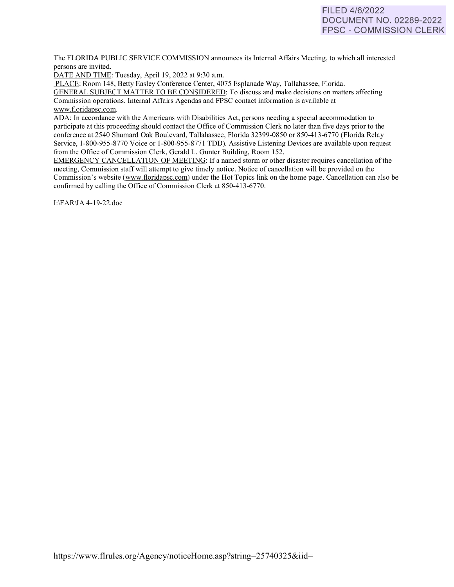# FILED 4/6/2022 DOCUMENT NO. 02289-2022 FPSC - COMMISSION CLERK

The FLORIDA PUBLIC SERVICE COMMISSION announces its Internal Affairs Meeting, to which all interested persons are invited.

DATE AND TIME: Tuesday, April 19, 2022 at 9:30 a.m.

PLACE: Room 148, Betty Easley Conference Center, 4075 Esplanade Way, Tallahassee, Florida.

GENERAL SUBJECT MATTER TO BE CONSIDERED: To discuss and make decisions on matters affecting Commission operations. Internal Affairs Agendas and FPSC contact information is available at [www.floridapsc.com.](http://www.floridapsc.com/) 

ADA: In accordance with the Americans with Disabilities Act, persons needing a special accommodation to participate at this proceeding should contact the Office of Commission Clerk no later than five days prior to the conference at 2540 Shumard Oak Boulevard, Tallahassee, Florida 32399-0850 or 850-41 3-6770 (Florida Relay Service, 1-800-955-8770 Voice or 1-800-955-8771 TDD). Assistive Listening Devices are available upon request from the Office of Commission Clerk, Gerald L. Gunter Building, Room 152.

EMERGENCY CANCELLATION OF MEETING: If a named storm or other disaster requires cancellation of the meeting, Commission staff will attempt to give timely notice. Notice of cancellation will be provided on the Commission's website [\(www.f](http://www/)loridapsc.com) under the Hot Topics link on the home page. Cancellation can also be confirmed by calling the Office of Commission Clerk at 850-413-6770.

1:\F AR\IA 4-19-22.doc